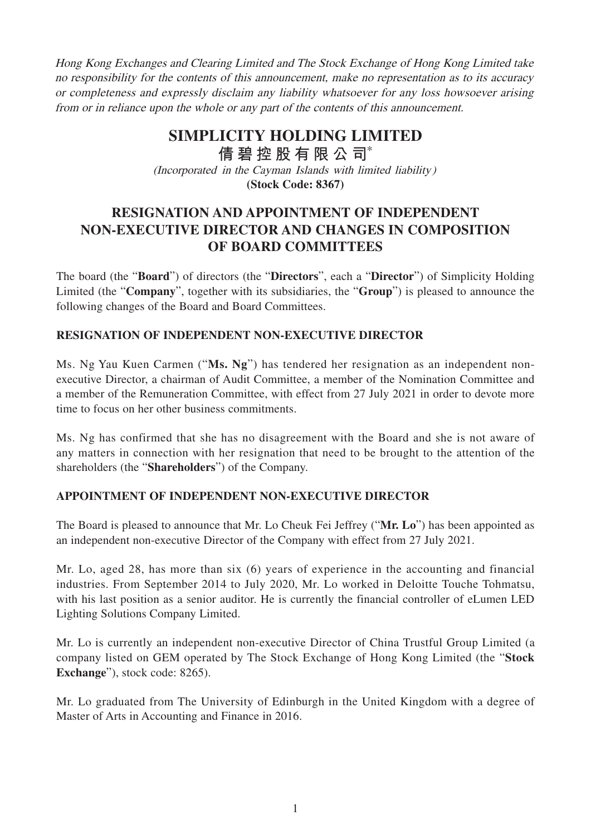Hong Kong Exchanges and Clearing Limited and The Stock Exchange of Hong Kong Limited take no responsibility for the contents of this announcement, make no representation as to its accuracy or completeness and expressly disclaim any liability whatsoever for any loss howsoever arising from or in reliance upon the whole or any part of the contents of this announcement.

# **SIMPLICITY HOLDING LIMITED**

(Incorporated in the Cayman Islands with limited liability) **(Stock Code: 8367) 倩碧控股有限公 司**\*

## **RESIGNATION AND APPOINTMENT OF INDEPENDENT NON-EXECUTIVE DIRECTOR AND CHANGES IN COMPOSITION OF BOARD COMMITTEES**

The board (the "**Board**") of directors (the "**Directors**", each a "**Director**") of Simplicity Holding Limited (the "**Company**", together with its subsidiaries, the "**Group**") is pleased to announce the following changes of the Board and Board Committees.

## **RESIGNATION OF INDEPENDENT NON-EXECUTIVE DIRECTOR**

Ms. Ng Yau Kuen Carmen ("**Ms. Ng**") has tendered her resignation as an independent nonexecutive Director, a chairman of Audit Committee, a member of the Nomination Committee and a member of the Remuneration Committee, with effect from 27 July 2021 in order to devote more time to focus on her other business commitments.

Ms. Ng has confirmed that she has no disagreement with the Board and she is not aware of any matters in connection with her resignation that need to be brought to the attention of the shareholders (the "**Shareholders**") of the Company.

#### **APPOINTMENT OF INDEPENDENT NON-EXECUTIVE DIRECTOR**

The Board is pleased to announce that Mr. Lo Cheuk Fei Jeffrey ("**Mr. Lo**") has been appointed as an independent non-executive Director of the Company with effect from 27 July 2021.

Mr. Lo, aged 28, has more than six (6) years of experience in the accounting and financial industries. From September 2014 to July 2020, Mr. Lo worked in Deloitte Touche Tohmatsu, with his last position as a senior auditor. He is currently the financial controller of eLumen LED Lighting Solutions Company Limited.

Mr. Lo is currently an independent non-executive Director of China Trustful Group Limited (a company listed on GEM operated by The Stock Exchange of Hong Kong Limited (the "**Stock Exchange**"), stock code: 8265).

Mr. Lo graduated from The University of Edinburgh in the United Kingdom with a degree of Master of Arts in Accounting and Finance in 2016.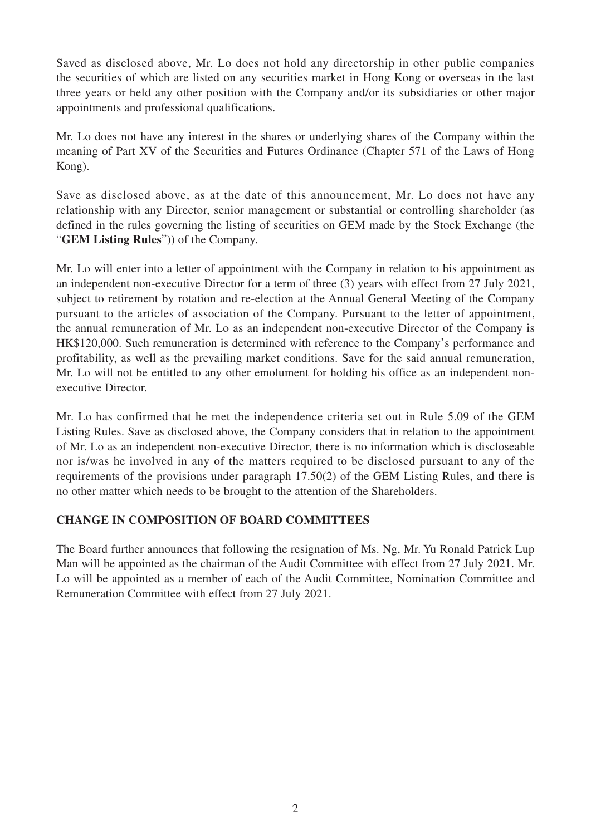Saved as disclosed above, Mr. Lo does not hold any directorship in other public companies the securities of which are listed on any securities market in Hong Kong or overseas in the last three years or held any other position with the Company and/or its subsidiaries or other major appointments and professional qualifications.

Mr. Lo does not have any interest in the shares or underlying shares of the Company within the meaning of Part XV of the Securities and Futures Ordinance (Chapter 571 of the Laws of Hong Kong).

Save as disclosed above, as at the date of this announcement, Mr. Lo does not have any relationship with any Director, senior management or substantial or controlling shareholder (as defined in the rules governing the listing of securities on GEM made by the Stock Exchange (the "**GEM Listing Rules**")) of the Company.

Mr. Lo will enter into a letter of appointment with the Company in relation to his appointment as an independent non-executive Director for a term of three (3) years with effect from 27 July 2021, subject to retirement by rotation and re-election at the Annual General Meeting of the Company pursuant to the articles of association of the Company. Pursuant to the letter of appointment, the annual remuneration of Mr. Lo as an independent non-executive Director of the Company is HK\$120,000. Such remuneration is determined with reference to the Company's performance and profitability, as well as the prevailing market conditions. Save for the said annual remuneration, Mr. Lo will not be entitled to any other emolument for holding his office as an independent nonexecutive Director.

Mr. Lo has confirmed that he met the independence criteria set out in Rule 5.09 of the GEM Listing Rules. Save as disclosed above, the Company considers that in relation to the appointment of Mr. Lo as an independent non-executive Director, there is no information which is discloseable nor is/was he involved in any of the matters required to be disclosed pursuant to any of the requirements of the provisions under paragraph 17.50(2) of the GEM Listing Rules, and there is no other matter which needs to be brought to the attention of the Shareholders.

## **CHANGE IN COMPOSITION OF BOARD COMMITTEES**

The Board further announces that following the resignation of Ms. Ng, Mr. Yu Ronald Patrick Lup Man will be appointed as the chairman of the Audit Committee with effect from 27 July 2021. Mr. Lo will be appointed as a member of each of the Audit Committee, Nomination Committee and Remuneration Committee with effect from 27 July 2021.